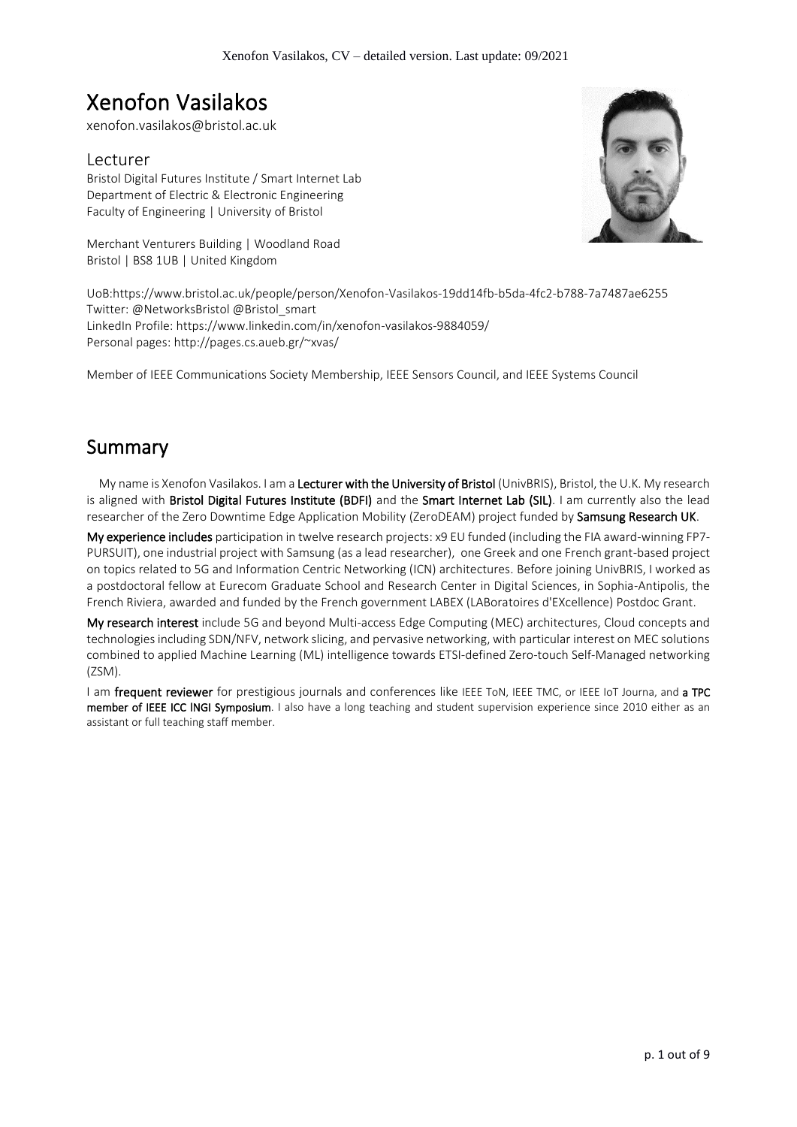# Xenofon Vasilakos

xenofon.vasilakos@bristol.ac.uk

## Lecturer

Bristol Digital Futures Institute / Smart Internet Lab Department of Electric & Electronic Engineering Faculty of Engineering | University of Bristol

Merchant Venturers Building | Woodland Road Bristol | BS8 1UB | United Kingdom

UoB:https://www.bristol.ac.uk/people/person/Xenofon-Vasilakos-19dd14fb-b5da-4fc2-b788-7a7487ae6255 Twitter: @NetworksBristol @Bristol\_smart LinkedIn Profile: https://www.linkedin.com/in/xenofon-vasilakos-9884059/ Personal pages: http://pages.cs.aueb.gr/~xvas/

Member of IEEE Communications Society Membership, IEEE Sensors Council, and IEEE Systems Council

## Summary

My name is Xenofon Vasilakos. I am a Lecturer with the University of Bristol (UnivBRIS), Bristol, the U.K. My research is aligned with Bristol Digital Futures Institute (BDFI) and the Smart Internet Lab (SIL). I am currently also the lead researcher of the Zero Downtime Edge Application Mobility (ZeroDEAM) project funded by Samsung Research UK.

My experience includes participation in twelve research projects: x9 EU funded (including the FIA award-winning FP7- PURSUIT), one industrial project with Samsung (as a lead researcher), one Greek and one French grant-based project on topics related to 5G and Information Centric Networking (ICN) architectures. Before joining UnivBRIS, I worked as a postdoctoral fellow at Eurecom Graduate School and Research Center in Digital Sciences, in Sophia-Antipolis, the French Riviera, awarded and funded by the French government LABEX (LABoratoires d'EXcellence) Postdoc Grant.

My research interest include 5G and beyond Multi-access Edge Computing (MEC) architectures, Cloud concepts and technologies including SDN/NFV, network slicing, and pervasive networking, with particular interest on MEC solutions combined to applied Machine Learning (ML) intelligence towards ETSI-defined Zero-touch Self-Managed networking (ZSM).

I am frequent reviewer for prestigious journals and conferences like IEEE ToN, IEEE TMC, or IEEE IoT Journa, and a TPC member of IEEE ICC INGI Symposium. I also have a long teaching and student supervision experience since 2010 either as an assistant or full teaching staff member.

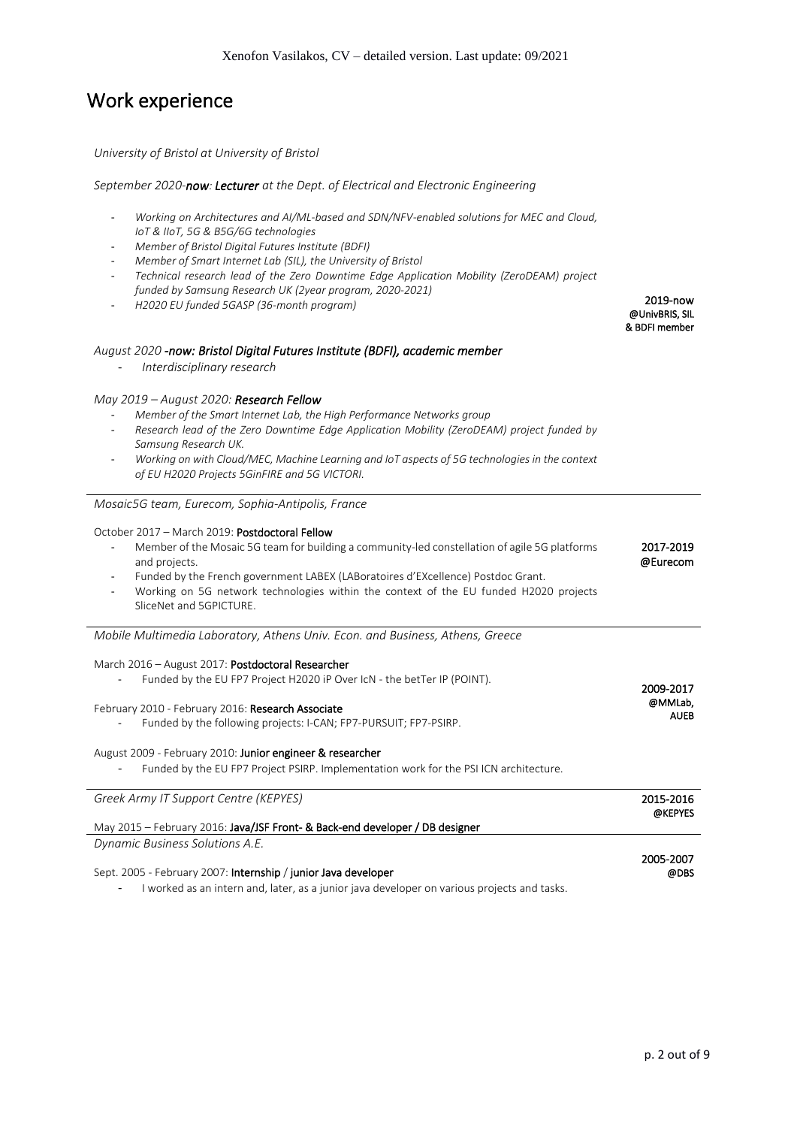## Work experience

### *University of Bristol at University of Bristol*

### *September 2020-now: Lecturer at the Dept. of Electrical and Electronic Engineering*

- *Working on Architectures and AI/ML-based and SDN/NFV-enabled solutions for MEC and Cloud, IoT & IIoT, 5G & B5G/6G technologies*
- *Member of Bristol Digital Futures Institute (BDFI)*
- *Member of Smart Internet Lab (SIL), the University of Bristol*
- *Technical research lead of the Zero Downtime Edge Application Mobility (ZeroDEAM) project funded by Samsung Research UK (2year program, 2020-2021)*
- *H2020 EU funded 5GASP (36-month program)*

### *August 2020 -now: Bristol Digital Futures Institute (BDFI), academic member*

- *Interdisciplinary research*

### *May 2019 – August 2020: Research Fellow*

- *Member of the Smart Internet Lab, the High Performance Networks group*
- *Research lead of the Zero Downtime Edge Application Mobility (ZeroDEAM) project funded by Samsung Research UK.*
- *Working on with Cloud/MEC, Machine Learning and IoT aspects of 5G technologies in the context of EU H2020 Projects 5GinFIRE and 5G VICTORI.*

### *Mosaic5G team, Eurecom, Sophia-Antipolis, France*

#### October 2017 – March 2019: Postdoctoral Fellow

- Member of the Mosaic 5G team for building a community-led constellation of agile 5G platforms and projects. 2017-2019 @Eurecom
- Funded by the French government LABEX (LABoratoires d'EXcellence) Postdoc Grant.
- Working on 5G network technologies within the context of the EU funded H2020 projects SliceNet and 5GPICTURE.

*Mobile Multimedia Laboratory, Athens Univ. Econ. and Business, Athens, Greece*

### March 2016 – August 2017: Postdoctoral Researcher

| Funded by the EU FP7 Project H2020 iP Over IcN - the betTer IP (POINT). | 2009-2017   |
|-------------------------------------------------------------------------|-------------|
| February 2010 - February 2016: <b>Research Associate</b>                | @MMLab,     |
| Funded by the following projects: I-CAN; FP7-PURSUIT; FP7-PSIRP.        | <b>AUEB</b> |

### August 2009 - February 2010: Junior engineer & researcher

- Funded by the EU FP7 Project PSIRP. Implementation work for the PSI ICN architecture.

| Greek Army IT Support Centre (KEPYES)                                                                                | 2015-2016 |
|----------------------------------------------------------------------------------------------------------------------|-----------|
|                                                                                                                      | @KEPYES   |
| May 2015 – February 2016: Java/JSF Front- & Back-end developer / DB designer                                         |           |
| Dynamic Business Solutions A.E.                                                                                      |           |
|                                                                                                                      | 2005-2007 |
|                                                                                                                      |           |
| Sept. 2005 - February 2007: Internship / junior Java developer                                                       | @DBS      |
| المراجعة المساوية والمستوجب ويتماس والمستقل والمتنقل المتنازل والمتحار والمساري المستوا المستقصا والمستقل والمستنبرة |           |

I worked as an intern and, later, as a junior java developer on various projects and tasks.

2019-now @UnivBRIS, SIL & BDFI member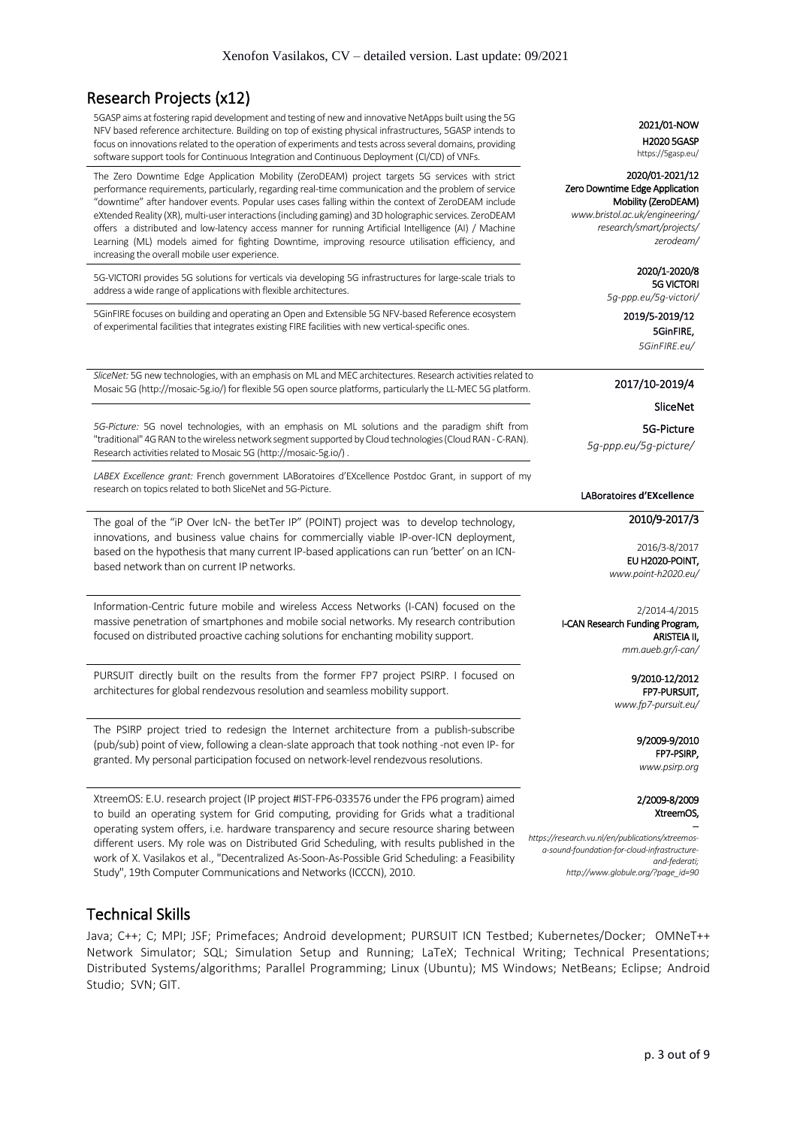## Research Projects (x12)

5GASP aims at fostering rapid development and testing of new and innovative NetApps built using the 5G NFV based reference architecture. Building on top of existing physical infrastructures, 5GASP intends to focus on innovations related to the operation of experiments and tests across several domains, providing software support tools for Continuous Integration and Continuous Deployment (CI/CD) of VNFs.

The Zero Downtime Edge Application Mobility (ZeroDEAM) project targets 5G services with strict performance requirements, particularly, regarding real-time communication and the problem of service "downtime" after handover events. Popular uses cases falling within the context of ZeroDEAM include eXtended Reality (XR), multi-user interactions (including gaming) and 3D holographic services. ZeroDEAM offers a distributed and low-latency access manner for running Artificial Intelligence (AI) / Machine Learning (ML) models aimed for fighting Downtime, improving resource utilisation efficiency, and increasing the overall mobile user experience.

5G-VICTORI provides 5G solutions for verticals via developing 5G infrastructures for large-scale trials to address a wide range of applications with flexible architectures.

5GinFIRE focuses on building and operating an Open and Extensible 5G NFV-based Reference ecosystem of experimental facilities that integrates existing FIRE facilities with new vertical-specific ones.

*SliceNet:* 5G new technologies, with an emphasis on ML and MEC architectures. Research activities related to Mosaic 5G (http://mosaic-5g.io/) for flexible 5G open source platforms, particularly the LL-MEC 5G platform.

*5G-Picture:* 5G novel technologies, with an emphasis on ML solutions and the paradigm shift from "traditional" 4G RAN to the wireless network segment supported by Cloud technologies (Cloud RAN - C-RAN). Research activities related to Mosaic 5G (http://mosaic-5g.io/) .

*LABEX Excellence grant:* French government LABoratoires d'EXcellence Postdoc Grant, in support of my research on topics related to both SliceNet and 5G-Picture.

The goal of the "iP Over IcN- the betTer IP" (POINT) project was to develop technology, innovations, and business value chains for commercially viable IP-over-ICN deployment, based on the hypothesis that many current IP-based applications can run 'better' on an ICNbased network than on current IP networks.

Information-Centric future mobile and wireless Access Networks (I-CAN) focused on the massive penetration of smartphones and mobile social networks. My research contribution focused on distributed proactive caching solutions for enchanting mobility support.

PURSUIT directly built on the results from the former FP7 project PSIRP. I focused on architectures for global rendezvous resolution and seamless mobility support.

The PSIRP project tried to redesign the Internet architecture from a publish-subscribe (pub/sub) point of view, following a clean-slate approach that took nothing -not even IP- for granted. My personal participation focused on network-level rendezvous resolutions.

XtreemOS: E.U. research project (IP project #IST-FP6-033576 under the FP6 program) aimed to build an operating system for Grid computing, providing for Grids what a traditional operating system offers, i.e. hardware transparency and secure resource sharing between different users. My role was on Distributed Grid Scheduling, with results published in the work of X. Vasilakos et al., "Decentralized As-Soon-As-Possible Grid Scheduling: a Feasibility Study", 19th Computer Communications and Networks (ICCCN), 2010.

## Technical Skills

Java; C++; C; MPI; JSF; Primefaces; Android development; PURSUIT ICN Testbed; Kubernetes/Docker; OMNeT++ Network Simulator; SQL; Simulation Setup and Running; LaTeX; Technical Writing; Technical Presentations; Distributed Systems/algorithms; Parallel Programming; Linux (Ubuntu); MS Windows; NetBeans; Eclipse; Android Studio; SVN; GIT.

### 2021/01-NOW

 H2020 5GASP https://5gasp.eu/

#### 2020/01-2021/12 Zero Downtime Edge Application

Mobility (ZeroDEAM) *www.bristol.ac.uk/engineering/ research/smart/projects/ zerodeam/*

> 2020/1-2020/8 5G VICTORI

*5g-ppp.eu/5g-victori/* 

2019/5-2019/12 5GinFIRE,

*5GinFIRE.eu/*

### 2017/10-2019/4

### SliceNet

*5g-ppp.eu/ slicenet/* 5G-Picture *5g-ppp.eu/5g-picture/*

#### LABoratoires **d'EXcellence**

### 2010/9-2017/3

2016/3-8/2017 EU H2020-POINT, *www.point-h2020.eu/*

2/2014-4/2015 I-CAN Research Funding Program, ARISTEIA II, *mm.aueb.gr/i-can/*

> 9/2010-12/2012 FP7-PURSUIT, *www.fp7-pursuit.eu/*

> > 9/2009-9/2010 FP7-PSIRP, *www.psirp.org*

2/2009-8/2009 XtreemOS,

--

*https://research.vu.nl/en/publications/xtreemosa-sound-foundation-for-cloud-infrastructureand-federati; http://www.globule.org/?page\_id=90*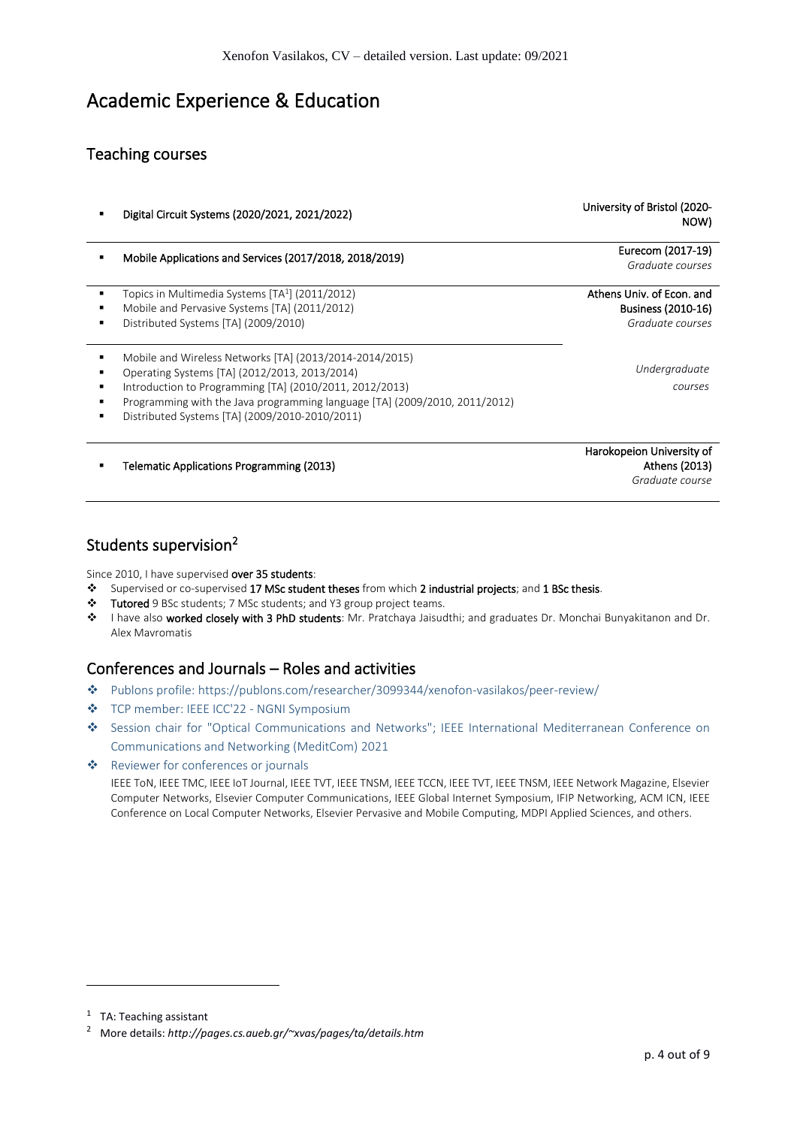## Academic Experience & Education

## Teaching courses

- Digital Circuit Systems (2020/2021, 2021/2022)
- Mobile Applications and Services (2017/2018, 2018/2019)
- Topics in Multimedia Systems [TA<sup>1</sup>] (2011/2012)
- Mobile and Pervasive Systems [TA] (2011/2012)
- Distributed Systems [TA] (2009/2010)
- Mobile and Wireless Networks [TA] (2013/2014-2014/2015)
- Operating Systems [TA] (2012/2013, 2013/2014)
- Introduction to Programming [TA] (2010/2011, 2012/2013)
- Programming with the Java programming language [TA] (2009/2010, 2011/2012)
- Distributed Systems [TA] (2009/2010‐2010/2011)

**Telematic Applications Programming (2013)** 

## Students supervision<sup>2</sup>

Since 2010, I have supervised over 35 students:

- ❖ Supervised or co-supervised 17 MSc student theses from which 2 industrial projects; and 1 BSc thesis.
- ❖ Tutored 9 BSc students; 7 MSc students; and Y3 group project teams.
- ❖ I have also worked closely with 3 PhD students: Mr. Pratchaya Jaisudthi; and graduates Dr. Monchai Bunyakitanon and Dr. Alex Mavromatis

## Conferences and Journals – Roles and activities

- ❖ Publons profile:<https://publons.com/researcher/3099344/xenofon-vasilakos/peer-review/>
- ❖ TCP member: IEEE ICC'22 NGNI Symposium
- ❖ Session chair for "Optical Communications and Networks"; IEEE International Mediterranean Conference on Communications and Networking (MeditCom) 2021
- ❖ Reviewer for conferences or journals

IEEE ToN, IEEE TMC, IEEE IoT Journal, IEEE TVT, IEEE TNSM, IEEE TCCN, IEEE TVT, IEEE TNSM, IEEE Network Magazine, Elsevier Computer Networks, Elsevier Computer Communications, IEEE Global Internet Symposium, IFIP Networking, ACM ICN, IEEE Conference on Local Computer Networks, Elsevier Pervasive and Mobile Computing, MDPI Applied Sciences, and others.

NOW) Eurecom (2017-19)

University of Bristol (2020-

*Graduate courses* 

Athens Univ. of Econ. and Business (2010-16) *Graduate courses* 

> *Undergraduate courses*

Harokopeion University of Athens (2013) *Graduate course*

<sup>&</sup>lt;sup>1</sup> TA: Teaching assistant

<sup>2</sup> More details: *http://pages.cs.aueb.gr/~xvas/pages/ta/details.htm*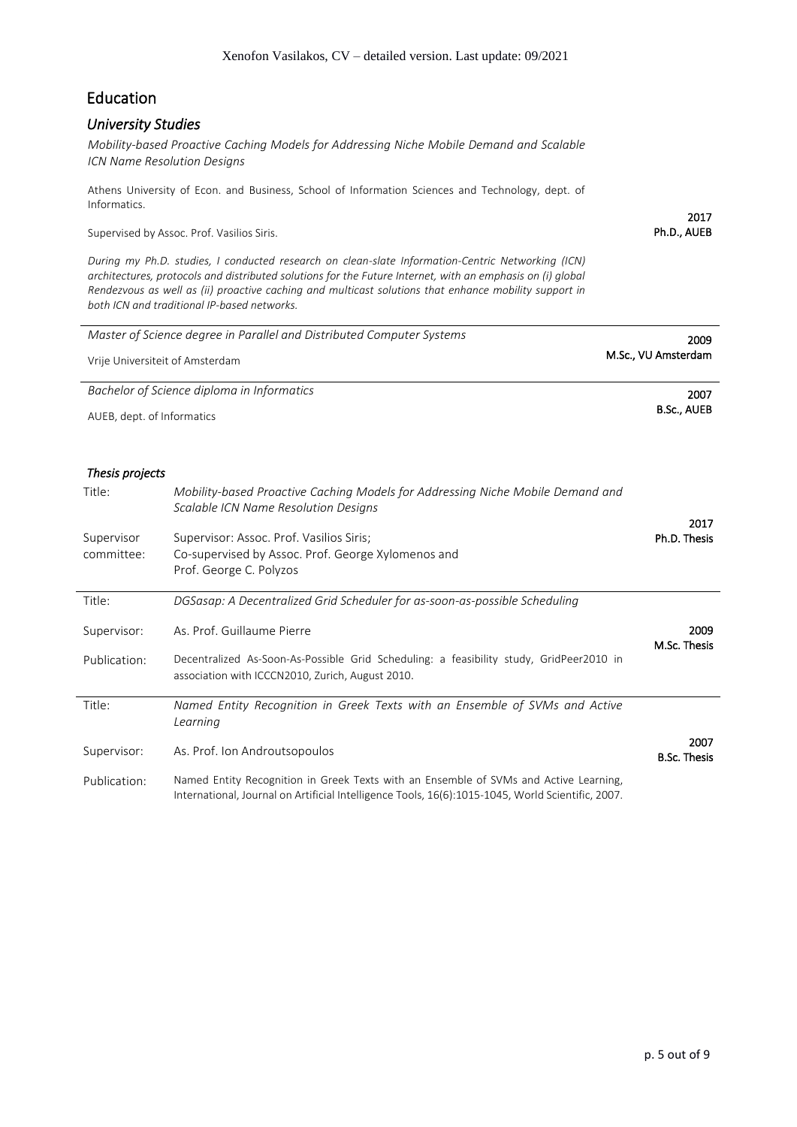## Education

### *University Studies*

*Mobility-based Proactive Caching Models for Addressing Niche Mobile Demand and Scalable ICN Name Resolution Designs*

Athens University of Econ. and Business, School of Information Sciences and Technology, dept. of Informatics.

Supervised by Assoc. Prof. Vasilios Siris.

*During my Ph.D. studies, I conducted research on clean-slate Information-Centric Networking (ICN) architectures, protocols and distributed solutions for the Future Internet, with an emphasis on (i) global Rendezvous as well as (ii) proactive caching and multicast solutions that enhance mobility support in both ICN and traditional IP-based networks.*

| Master of Science degree in Parallel and Distributed Computer Systems | 2009                |  |
|-----------------------------------------------------------------------|---------------------|--|
| Vrije Universiteit of Amsterdam                                       | M.Sc., VU Amsterdam |  |
| Bachelor of Science diploma in Informatics                            | 2007                |  |
| AUEB, dept. of Informatics                                            | <b>B.Sc., AUEB</b>  |  |

### *Thesis projects*

| Title:       | Mobility-based Proactive Caching Models for Addressing Niche Mobile Demand and<br>Scalable ICN Name Resolution Designs                                                                     | 2017                        |
|--------------|--------------------------------------------------------------------------------------------------------------------------------------------------------------------------------------------|-----------------------------|
| Supervisor   | Supervisor: Assoc. Prof. Vasilios Siris;                                                                                                                                                   | Ph.D. Thesis                |
| committee:   | Co-supervised by Assoc. Prof. George Xylomenos and                                                                                                                                         |                             |
|              | Prof. George C. Polyzos                                                                                                                                                                    |                             |
| Title:       | DGSasap: A Decentralized Grid Scheduler for as-soon-as-possible Scheduling                                                                                                                 |                             |
| Supervisor:  | As. Prof. Guillaume Pierre                                                                                                                                                                 | 2009<br>M.Sc. Thesis        |
| Publication: | Decentralized As-Soon-As-Possible Grid Scheduling: a feasibility study, GridPeer2010 in<br>association with ICCCN2010, Zurich, August 2010.                                                |                             |
| Title:       | Named Entity Recognition in Greek Texts with an Ensemble of SVMs and Active<br>Learning                                                                                                    |                             |
| Supervisor:  | As. Prof. Ion Androutsopoulos                                                                                                                                                              | 2007<br><b>B.Sc. Thesis</b> |
| Publication: | Named Entity Recognition in Greek Texts with an Ensemble of SVMs and Active Learning,<br>International, Journal on Artificial Intelligence Tools, 16(6):1015-1045, World Scientific, 2007. |                             |

2017 Ph.D., AUEB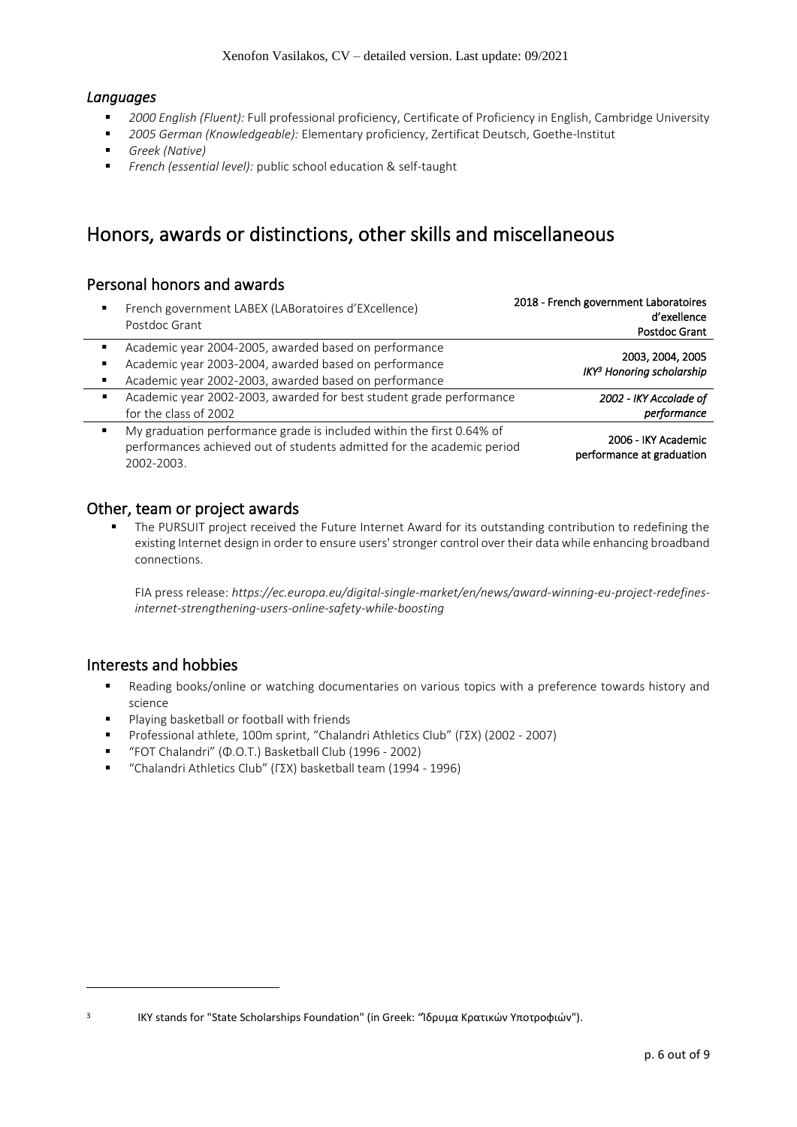### *Languages*

- *2000 English (Fluent):* Full professional proficiency, Certificate of Proficiency in English, Cambridge University
- *2005 German (Knowledgeable):* Elementary proficiency, Zertificat Deutsch, Goethe-Institut
- *Greek (Native)*
- *French (essential level):* public school education & self-taught

## Honors, awards or distinctions, other skills and miscellaneous

## Personal honors and awards

| French government LABEX (LABoratoires d'EXcellence)<br>Postdoc Grant                                                                                          | 2018 - French government Laboratoires<br>d'exellence<br><b>Postdoc Grant</b> |
|---------------------------------------------------------------------------------------------------------------------------------------------------------------|------------------------------------------------------------------------------|
| Academic year 2004-2005, awarded based on performance<br>Academic year 2003-2004, awarded based on performance                                                | 2003, 2004, 2005                                                             |
| Academic year 2002-2003, awarded based on performance                                                                                                         | IKY <sup>3</sup> Honoring scholarship                                        |
| Academic year 2002-2003, awarded for best student grade performance<br>for the class of 2002                                                                  | 2002 - IKY Accolade of<br>performance                                        |
| My graduation performance grade is included within the first 0.64% of<br>performances achieved out of students admitted for the academic period<br>2002-2003. | 2006 - IKY Academic<br>performance at graduation                             |

### Other, team or project awards

**■** The PURSUIT project received the Future Internet Award for its outstanding contribution to redefining the existing Internet design in order to ensure users' stronger control over their data while enhancing broadband connections.

FIA press release: *https://ec.europa.eu/digital-single-market/en/news/award-winning-eu-project-redefinesinternet-strengthening-users-online-safety-while-boosting*

### Interests and hobbies

3

- Reading books/online or watching documentaries on various topics with a preference towards history and science
- Playing basketball or football with friends
- Professional athlete, 100m sprint, "Chalandri Athletics Club" (ΓΣΧ) (2002 ‐ 2007)
- "FOT Chalandri" (Φ.Ο.Τ.) Basketball Club (1996 ‐ 2002)
- "Chalandri Athletics Club" (ΓΣΧ) basketball team (1994 ‐ 1996)

IKY stands for "State Scholarships Foundation" (in Greek: "Ίδρυμα Κρατικών Υποτροφιών").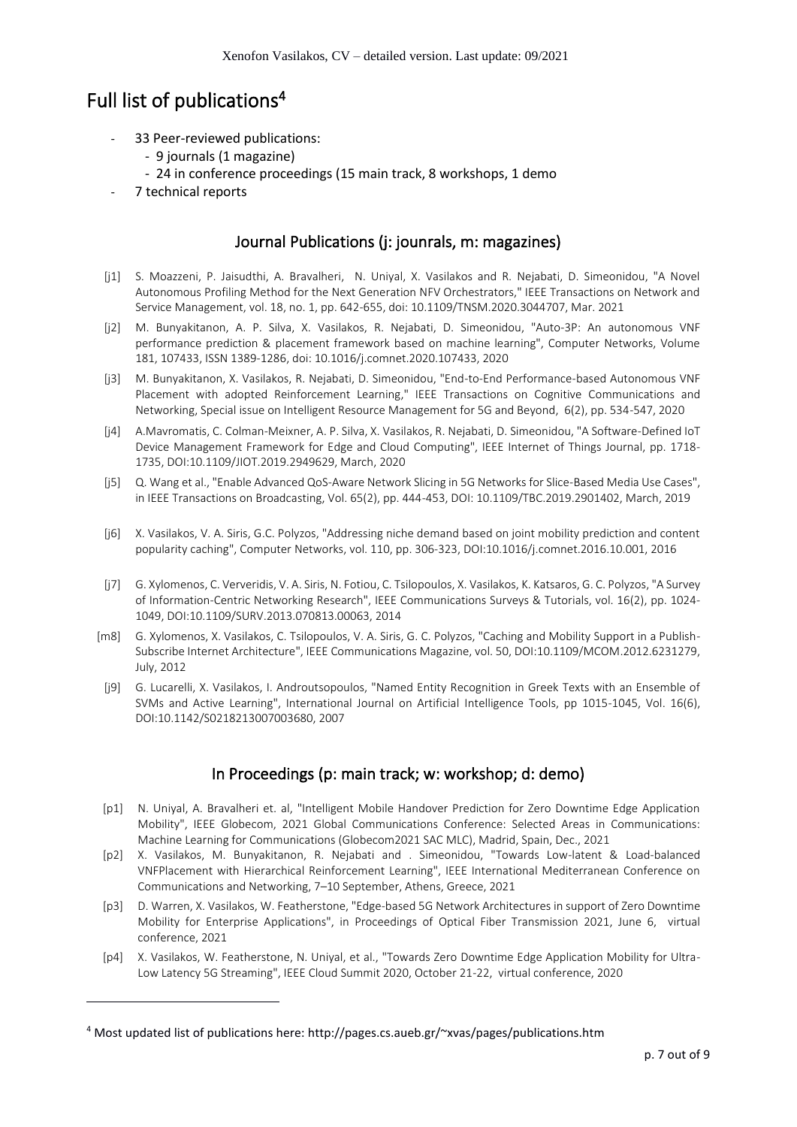## Full list of publications<sup>4</sup>

- 33 Peer-reviewed publications:
	- 9 journals (1 magazine)
	- 24 in conference proceedings (15 main track, 8 workshops, 1 demo
- 7 technical reports

## Journal Publications (j: jounrals, m: magazines)

- [j1] S. Moazzeni, P. Jaisudthi, A. Bravalheri, N. Uniyal, X. Vasilakos and R. Nejabati, D. Simeonidou, "A Novel Autonomous Profiling Method for the Next Generation NFV Orchestrators," IEEE Transactions on Network and Service Management, vol. 18, no. 1, pp. 642-655, doi: 10.1109/TNSM.2020.3044707, Mar. 2021
- [j2] M. Bunyakitanon, A. P. Silva, X. Vasilakos, R. Nejabati, D. Simeonidou, "Auto-3P: An autonomous VNF performance prediction & placement framework based on machine learning", Computer Networks, Volume 181, 107433, ISSN 1389-1286, doi: 10.1016/j.comnet.2020.107433, 2020
- [j3] M. Bunyakitanon, X. Vasilakos, R. Nejabati, D. Simeonidou, "End-to-End Performance-based Autonomous VNF Placement with adopted Reinforcement Learning," IEEE Transactions on Cognitive Communications and Networking, Special issue on Intelligent Resource Management for 5G and Beyond, 6(2), pp. 534-547, 2020
- [j4] A.Mavromatis, C. Colman-Meixner, A. P. Silva, X. Vasilakos, R. Nejabati, D. Simeonidou, "A Software-Defined IoT Device Management Framework for Edge and Cloud Computing", IEEE Internet of Things Journal, pp. 1718- 1735, DOI:10.1109/JIOT.2019.2949629, March, 2020
- [j5] Q. Wang et al., "Enable Advanced QoS-Aware Network Slicing in 5G Networks for Slice-Based Media Use Cases", in IEEE Transactions on Broadcasting, Vol. 65(2), pp. 444-453, DOI: 10.1109/TBC.2019.2901402, March, 2019
- [j6] X. Vasilakos, V. A. Siris, G.C. Polyzos, "Addressing niche demand based on joint mobility prediction and content popularity caching", Computer Networks, vol. 110, pp. 306-323, DOI:10.1016/j.comnet.2016.10.001, 2016
- [j7] G. Xylomenos, C. Ververidis, V. A. Siris, N. Fotiou, C. Tsilopoulos, X. Vasilakos, K. Katsaros, G. C. Polyzos, "A Survey of Information-Centric Networking Research", IEEE Communications Surveys & Tutorials, vol. 16(2), pp. 1024- 1049, DOI:10.1109/SURV.2013.070813.00063, 2014
- [m8] G. Xylomenos, X. Vasilakos, C. Tsilopoulos, V. A. Siris, G. C. Polyzos, "Caching and Mobility Support in a Publish-Subscribe Internet Architecture", IEEE Communications Magazine, vol. 50, DOI:10.1109/MCOM.2012.6231279, July, 2012
- [j9] G. Lucarelli, X. Vasilakos, I. Androutsopoulos, "Named Entity Recognition in Greek Texts with an Ensemble of SVMs and Active Learning", International Journal on Artificial Intelligence Tools, pp 1015-1045, Vol. 16(6), DOI:10.1142/S0218213007003680, 2007

## In Proceedings (p: main track; w: workshop; d: demo)

- [p1] N. Uniyal, A. Bravalheri et. al, "Intelligent Mobile Handover Prediction for Zero Downtime Edge Application Mobility", IEEE Globecom, 2021 Global Communications Conference: Selected Areas in Communications: Machine Learning for Communications (Globecom2021 SAC MLC), Madrid, Spain, Dec., 2021
- [p2] X. Vasilakos, M. Bunyakitanon, R. Nejabati and . Simeonidou, "Towards Low-latent & Load-balanced VNFPlacement with Hierarchical Reinforcement Learning", IEEE International Mediterranean Conference on Communications and Networking, 7–10 September, Athens, Greece, 2021
- [p3] D. Warren, X. Vasilakos, W. Featherstone, "Edge-based 5G Network Architectures in support of Zero Downtime Mobility for Enterprise Applications", in Proceedings of Optical Fiber Transmission 2021, June 6, virtual conference, 2021
- [p4] X. Vasilakos, W. Featherstone, N. Uniyal, et al., "Towards Zero Downtime Edge Application Mobility for Ultra-Low Latency 5G Streaming", IEEE Cloud Summit 2020, October 21-22, virtual conference, 2020

<sup>4</sup> Most updated list of publications here: http://pages.cs.aueb.gr/~xvas/pages/publications.htm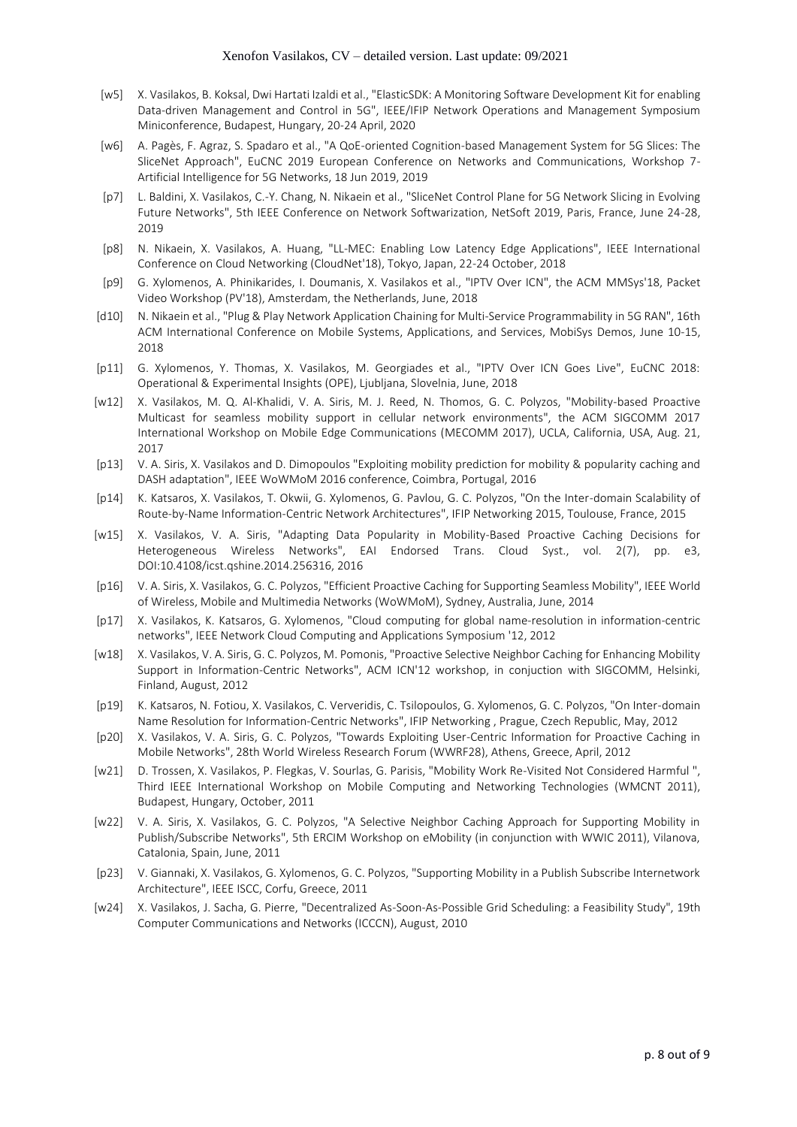- [w5] X. Vasilakos, B. Koksal, Dwi Hartati Izaldi et al., "ElasticSDK: A Monitoring Software Development Kit for enabling Data-driven Management and Control in 5G", IEEE/IFIP Network Operations and Management Symposium Miniconference, Budapest, Hungary, 20-24 April, 2020
- [w6] A. Pagès, F. Agraz, S. Spadaro et al., "A QoE-oriented Cognition-based Management System for 5G Slices: The SliceNet Approach", EuCNC 2019 European Conference on Networks and Communications, Workshop 7- Artificial Intelligence for 5G Networks, 18 Jun 2019, 2019
- [p7] L. Baldini, X. Vasilakos, C.-Y. Chang, N. Nikaein et al., "SliceNet Control Plane for 5G Network Slicing in Evolving Future Networks", 5th IEEE Conference on Network Softwarization, NetSoft 2019, Paris, France, June 24-28, 2019
- [p8] N. Nikaein, X. Vasilakos, A. Huang, "LL-MEC: Enabling Low Latency Edge Applications", IEEE International Conference on Cloud Networking (CloudNet'18), Tokyo, Japan, 22-24 October, 2018
- [p9] G. Xylomenos, A. Phinikarides, I. Doumanis, X. Vasilakos et al., "IPTV Over ICN", the ACM MMSys'18, Packet Video Workshop (PV'18), Amsterdam, the Netherlands, June, 2018
- [d10] N. Nikaein et al., "Plug & Play Network Application Chaining for Multi-Service Programmability in 5G RAN", 16th ACM International Conference on Mobile Systems, Applications, and Services, MobiSys Demos, June 10-15, 2018
- [p11] G. Xylomenos, Y. Thomas, X. Vasilakos, M. Georgiades et al., "IPTV Over ICN Goes Live", EuCNC 2018: Operational & Experimental Insights (OPE), Ljubljana, Slovelnia, June, 2018
- [w12] X. Vasilakos, M. Q. Al-Khalidi, V. A. Siris, M. J. Reed, N. Thomos, G. C. Polyzos, "Mobility-based Proactive Multicast for seamless mobility support in cellular network environments", the ACM SIGCOMM 2017 International Workshop on Mobile Edge Communications (MECOMM 2017), UCLA, California, USA, Aug. 21, 2017
- [p13] V. A. Siris, X. Vasilakos and D. Dimopoulos "Exploiting mobility prediction for mobility & popularity caching and DASH adaptation", IEEE WoWMoM 2016 conference, Coimbra, Portugal, 2016
- [p14] K. Katsaros, X. Vasilakos, T. Okwii, G. Xylomenos, G. Pavlou, G. C. Polyzos, "On the Inter-domain Scalability of Route-by-Name Information-Centric Network Architectures", IFIP Networking 2015, Toulouse, France, 2015
- [w15] X. Vasilakos, V. A. Siris, "Adapting Data Popularity in Mobility-Based Proactive Caching Decisions for Heterogeneous Wireless Networks", EAI Endorsed Trans. Cloud Syst., vol. 2(7), pp. e3, DOI:10.4108/icst.qshine.2014.256316, 2016
- [p16] V. A. Siris, X. Vasilakos, G. C. Polyzos, "Efficient Proactive Caching for Supporting Seamless Mobility", IEEE World of Wireless, Mobile and Multimedia Networks (WoWMoM), Sydney, Australia, June, 2014
- [p17] X. Vasilakos, K. Katsaros, G. Xylomenos, "Cloud computing for global name-resolution in information-centric networks", IEEE Network Cloud Computing and Applications Symposium '12, 2012
- [w18] X. Vasilakos, V. A. Siris, G. C. Polyzos, M. Pomonis, "Proactive Selective Neighbor Caching for Enhancing Mobility Support in Information-Centric Networks", ACM ICN'12 workshop, in conjuction with SIGCOMM, Helsinki, Finland, August, 2012
- [p19] K. Katsaros, N. Fotiou, X. Vasilakos, C. Ververidis, C. Tsilopoulos, G. Xylomenos, G. C. Polyzos, "On Inter-domain Name Resolution for Information-Centric Networks", IFIP Networking , Prague, Czech Republic, May, 2012
- [p20] X. Vasilakos, V. A. Siris, G. C. Polyzos, "Towards Exploiting User-Centric Information for Proactive Caching in Mobile Networks", 28th World Wireless Research Forum (WWRF28), Athens, Greece, April, 2012
- [w21] D. Trossen, X. Vasilakos, P. Flegkas, V. Sourlas, G. Parisis, "Mobility Work Re-Visited Not Considered Harmful ", Third IEEE International Workshop on Mobile Computing and Networking Technologies (WMCNT 2011), Budapest, Hungary, October, 2011
- [w22] V. A. Siris, X. Vasilakos, G. C. Polyzos, "A Selective Neighbor Caching Approach for Supporting Mobility in Publish/Subscribe Networks", 5th ERCIM Workshop on eMobility (in conjunction with WWIC 2011), Vilanova, Catalonia, Spain, June, 2011
- [p23] V. Giannaki, X. Vasilakos, G. Xylomenos, G. C. Polyzos, "Supporting Mobility in a Publish Subscribe Internetwork Architecture", IEEE ISCC, Corfu, Greece, 2011
- [w24] X. Vasilakos, J. Sacha, G. Pierre, "Decentralized As-Soon-As-Possible Grid Scheduling: a Feasibility Study", 19th Computer Communications and Networks (ICCCN), August, 2010